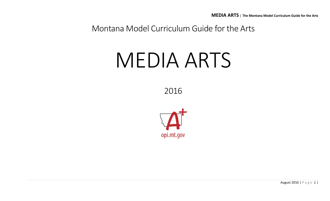Montana Model Curriculum Guide for the Arts

# MEDIA ARTS

2016

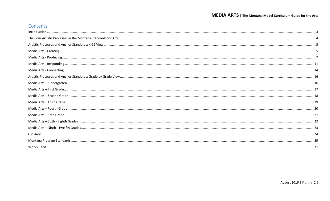## Contents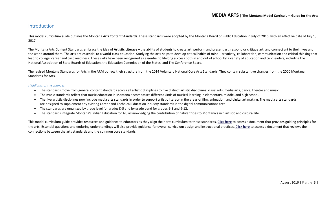#### <span id="page-2-0"></span>Introduction

This model curriculum guide outlines the Montana Arts Content Standards. These standards were adopted by the Montana Board of Public Education in July of 2016, with an effective date of July 1, 2017.

The Montana Arts Content Standards embrace the idea of **Artistic Literacy** – the ability of students to create art, perform and present art, respond or critique art, and connect art to their lives and the world around them. The arts are essential to a world-class education. Studying the arts helps to develop critical habits of mind—creativity, collaboration, communication and critical thinking that lead to college, career and civic readiness. These skills have been recognized as essential to lifelong success both in and out of school by a variety of education and civic leaders, including the National Association of State Boards of Education, the Education Commission of the States, and The Conference Board.

The revised Montana Standards for Arts in the ARM borrow their structure from the [2014 Voluntary National Core Arts Standards.](http://www.nationalartsstandards.org/) They contain substantive changes from the 2000 Montana Standards for Arts.

#### *Highlights of the changes*

- The standards move from general content standards across all artistic disciplines to five distinct artistic disciplines: visual arts, media arts, dance, theatre and music.
- The music standards reflect that music education in Montana encompasses different kinds of musical learning in elementary, middle, and high school.
- The five artistic disciplines now include media arts standards in order to support artistic literacy in the areas of film, animation, and digital art making. The media arts standards are designed to supplement any existing Career and Technical Education industry standards in the digital communications area.
- The standards are organized by grade level for grades K-5 and by grade band for grades 6-8 and 9-12.
- The standards integrate Montana's Indian Education for All, acknowledging the contribution of native tribes to Montana's rich artistic and cultural life.

This model curriculum guide provides resources and guidance to educators as they align their arts curriculum to these standards. [Click here](http://usny.nysed.gov/rttt/docs/guidingprinciples-arts.pdf) to access a document that provides guiding principles for the arts. Essential questions and enduring understandings will also provide guidance for overall curriculum design and instructional practices. [Click here](http://www.nationalartsstandards.org/sites/default/files/College%20Board%20Research%20-%20Arts%20and%20Common%20Core%20-%20final%20report1.pdf) to access a document that reviews the connections between the arts standards and the common core standards.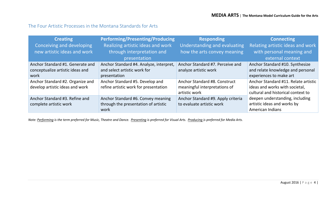## <span id="page-3-0"></span>The Four Artistic Processes in the Montana Standards for Arts

| <b>Creating</b>                  | <b>Performing/Presenting/Producing</b>     | <b>Responding</b>                  | <b>Connecting</b>                             |
|----------------------------------|--------------------------------------------|------------------------------------|-----------------------------------------------|
| Conceiving and developing        | Realizing artistic ideas and work          | Understanding and evaluating       | Relating artistic ideas and work              |
| new artistic ideas and work      | through interpretation and<br>presentation | how the arts convey meaning        | with personal meaning and<br>external context |
| Anchor Standard #1. Generate and | Anchor Standard #4. Analyze, interpret,    | Anchor Standard #7. Perceive and   | Anchor Standard #10. Synthesize               |
| conceptualize artistic ideas and | and select artistic work for               | analyze artistic work              | and relate knowledge and personal             |
| work                             | presentation                               |                                    | experiences to make art                       |
| Anchor Standard #2. Organize and | Anchor Standard #5. Develop and            | Anchor Standard #8. Construct      | Anchor Standard #11. Relate artistic          |
| develop artistic ideas and work  | refine artistic work for presentation      | meaningful interpretations of      | ideas and works with societal,                |
|                                  |                                            | artistic work                      | cultural and historical context to            |
| Anchor Standard #3. Refine and   | Anchor Standard #6. Convey meaning         | Anchor Standard #9. Apply criteria | deepen understanding, including               |
| complete artistic work           | through the presentation of artistic       | to evaluate artistic work          | artistic ideas and works by                   |
|                                  | work                                       |                                    | American Indians                              |

*Note: Performing is the term preferred for Music, Theatre and Dance. Presenting is preferred for Visual Arts. Producing is preferred for Media Arts.*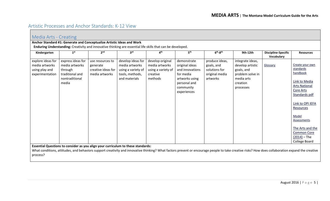# <span id="page-4-0"></span>Artistic Processes and Anchor Standards: K-12 View

<span id="page-4-1"></span>

| Media Arts - Creating                                                                                       |                                                                                              |                                                                        |                                                                                                                                                                                   |                                                                                 |                                                                                                                             |                                                                             |                                                                                                                                                                                                   |                                          |                                                                                                                                                                                                                                                              |  |  |  |
|-------------------------------------------------------------------------------------------------------------|----------------------------------------------------------------------------------------------|------------------------------------------------------------------------|-----------------------------------------------------------------------------------------------------------------------------------------------------------------------------------|---------------------------------------------------------------------------------|-----------------------------------------------------------------------------------------------------------------------------|-----------------------------------------------------------------------------|---------------------------------------------------------------------------------------------------------------------------------------------------------------------------------------------------|------------------------------------------|--------------------------------------------------------------------------------------------------------------------------------------------------------------------------------------------------------------------------------------------------------------|--|--|--|
|                                                                                                             |                                                                                              | Anchor Standard #1: Generate and Conceptualize Artistic Ideas and Work |                                                                                                                                                                                   |                                                                                 |                                                                                                                             |                                                                             |                                                                                                                                                                                                   |                                          |                                                                                                                                                                                                                                                              |  |  |  |
| Enduring Understanding: Creativity and innovative thinking are essential life skills that can be developed. |                                                                                              |                                                                        |                                                                                                                                                                                   |                                                                                 |                                                                                                                             |                                                                             |                                                                                                                                                                                                   |                                          |                                                                                                                                                                                                                                                              |  |  |  |
| Kindergarten                                                                                                | 1 <sup>st</sup>                                                                              | 2 <sup>nd</sup>                                                        | 3 <sup>rd</sup>                                                                                                                                                                   | 4 <sup>th</sup>                                                                 | 5 <sup>th</sup>                                                                                                             | $6th-8th$                                                                   | 9th-12th                                                                                                                                                                                          | <b>Discipline-Specific</b><br>Vocabulary | <b>Resources</b>                                                                                                                                                                                                                                             |  |  |  |
| explore ideas for<br>media artworks<br>using play and<br>experimentation                                    | express ideas for<br>media artworks<br>through<br>traditional and<br>nontraditional<br>media | use resources to<br>generate<br>creative ideas for<br>media artworks   | develop ideas for<br>media artworks<br>using a variety of<br>tools, methods,<br>and materials<br>Essential Questions to consider as you align your curriculum to these standards: | develop original<br>media artworks<br>using a variety of<br>creative<br>methods | demonstrate<br>original ideas<br>and innovations<br>for media<br>artworks using<br>personal and<br>community<br>experiences | produce ideas,<br>goals, and<br>solutions for<br>original media<br>artworks | integrate ideas,<br>develop artistic<br>goals, and<br>problem solve in<br>media arts<br>creation<br>processes                                                                                     | Glossary                                 | Create your own<br>standards<br>handbook<br>Link to Media<br><b>Arts National</b><br><b>Core Arts</b><br>Standards pdf<br>Link to OPI IEFA<br>Resources<br>Model<br>Assessments<br>The Arts and the<br><b>Common Core</b><br>$(2014)$ – The<br>College Board |  |  |  |
|                                                                                                             |                                                                                              |                                                                        |                                                                                                                                                                                   |                                                                                 |                                                                                                                             |                                                                             | What conditions, attitudes, and behaviors support creativity and innovative thinking? What factors prevent or encourage people to take creative risks? How does collaboration expand the creative |                                          |                                                                                                                                                                                                                                                              |  |  |  |

process?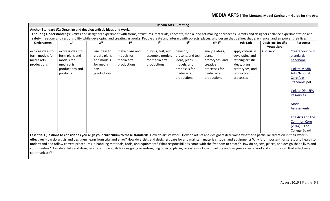|                                                                                                                                                                                              |                                                                                               |                                                                                |                                                           |                                                                        | <b>Media Arts - Creating</b>                                                                                |                                                                                                       |                                                                                                                         |                                                                                                                                                                                              |                                                                                                                                                                                                                                                       |  |  |  |
|----------------------------------------------------------------------------------------------------------------------------------------------------------------------------------------------|-----------------------------------------------------------------------------------------------|--------------------------------------------------------------------------------|-----------------------------------------------------------|------------------------------------------------------------------------|-------------------------------------------------------------------------------------------------------------|-------------------------------------------------------------------------------------------------------|-------------------------------------------------------------------------------------------------------------------------|----------------------------------------------------------------------------------------------------------------------------------------------------------------------------------------------|-------------------------------------------------------------------------------------------------------------------------------------------------------------------------------------------------------------------------------------------------------|--|--|--|
| Anchor Standard #2: Organize and develop artistic ideas and work.                                                                                                                            |                                                                                               |                                                                                |                                                           |                                                                        |                                                                                                             |                                                                                                       |                                                                                                                         |                                                                                                                                                                                              |                                                                                                                                                                                                                                                       |  |  |  |
| Enduring Understandings: Artists and designers experiment with forms, structures, materials, concepts, media, and art-making approaches. Artists and designers balance experimentation and   |                                                                                               |                                                                                |                                                           |                                                                        |                                                                                                             |                                                                                                       |                                                                                                                         |                                                                                                                                                                                              |                                                                                                                                                                                                                                                       |  |  |  |
| safety, freedom and responsibility while developing and creating artworks. People create and interact with objects, places, and design that define, shape, enhance, and empower their lives. |                                                                                               |                                                                                |                                                           |                                                                        |                                                                                                             |                                                                                                       |                                                                                                                         |                                                                                                                                                                                              |                                                                                                                                                                                                                                                       |  |  |  |
| Kindergarten                                                                                                                                                                                 | 1 <sup>st</sup>                                                                               |                                                                                | 3rd                                                       | ⊿th                                                                    | 5 <sup>th</sup>                                                                                             | $6th-8th$                                                                                             | 9th-12th                                                                                                                | <b>Discipline-Specific</b><br>Vocabulary                                                                                                                                                     | <b>Resources</b>                                                                                                                                                                                                                                      |  |  |  |
| explore ideas to<br>form models for<br>media arts<br>productions                                                                                                                             | express ideas to<br>form plans and<br>models for<br>media arts<br>productions and<br>products | use ideas to<br>create plans<br>and models<br>for media<br>arts<br>productions | make plans and<br>models for<br>media arts<br>productions | discuss, test, and<br>assemble models<br>for media arts<br>productions | develop,<br>present, and test<br>ideas, plans,<br>models, and<br>proposals for<br>media arts<br>productions | analyze ideas,<br>plans,<br>prototypes, and<br>creative<br>processes for<br>media arts<br>productions | apply criteria in<br>developing and<br>refining artistic<br>ideas, plans,<br>prototypes, and<br>production<br>processes | Glossary                                                                                                                                                                                     | Create your own<br>standards<br>handbook<br>Link to Media<br><b>Arts National</b><br>Core Arts<br>Standards pdf<br>Link to OPI IEFA<br>Resources<br>Model<br>Assessments<br>The Arts and the<br><b>Common Core</b><br>$(2014)$ – The<br>College Board |  |  |  |
|                                                                                                                                                                                              |                                                                                               |                                                                                |                                                           |                                                                        |                                                                                                             |                                                                                                       |                                                                                                                         | Essential Questions to consider as you align your curriculum to these standards: How do artists work? How do artists and designers determine whether a particular direction in their work is |                                                                                                                                                                                                                                                       |  |  |  |

effective? How do artists and designers learn from trial and error? How do artists and designers care for and maintain materials, tools, and equipment? Why is it important for safety and health to understand and follow correct procedures in handling materials, tools, and equipment? What responsibilities come with the freedom to create? How do objects, places, and design shape lives and communities? How do artists and designers determine goals for designing or redesigning objects, places, or systems? How do artists and designers create works of art or design that effectively communicate?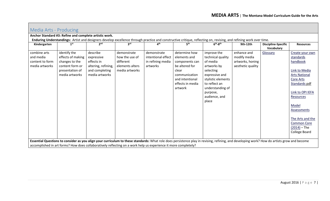<span id="page-6-0"></span>

| Media Arts - Producing                                         |                                                                                                             |                                                                                                                 |                                                                                 |                                                                    |                                                                                                                                               |                                                                                                                                                                                             |                                                                      |                                                 |                                                                                                                                                                                                                                             |
|----------------------------------------------------------------|-------------------------------------------------------------------------------------------------------------|-----------------------------------------------------------------------------------------------------------------|---------------------------------------------------------------------------------|--------------------------------------------------------------------|-----------------------------------------------------------------------------------------------------------------------------------------------|---------------------------------------------------------------------------------------------------------------------------------------------------------------------------------------------|----------------------------------------------------------------------|-------------------------------------------------|---------------------------------------------------------------------------------------------------------------------------------------------------------------------------------------------------------------------------------------------|
|                                                                | Anchor Standard #3: Refine and complete artistic work.                                                      |                                                                                                                 |                                                                                 |                                                                    |                                                                                                                                               |                                                                                                                                                                                             |                                                                      |                                                 |                                                                                                                                                                                                                                             |
|                                                                |                                                                                                             |                                                                                                                 |                                                                                 |                                                                    |                                                                                                                                               | Enduring Understandings: Artist and designers develop excellence through practice and constructive critique, reflecting on, revising, and refining work over time.                          |                                                                      |                                                 |                                                                                                                                                                                                                                             |
| Kindergarten                                                   | 1 <sup>st</sup>                                                                                             | 2 <sup>nd</sup>                                                                                                 | 3 <sup>rd</sup>                                                                 | 4 <sup>th</sup>                                                    | 5 <sup>th</sup>                                                                                                                               | $6th-8th$                                                                                                                                                                                   | 9th-12th                                                             | <b>Discipline-Specific</b><br><b>Vocabularv</b> | <b>Resources</b>                                                                                                                                                                                                                            |
| combine arts<br>and media<br>content to form<br>media artworks | identify the<br>effects of making<br>changes to the<br>content form or<br>presentation of<br>media artworks | describe<br>expressive<br>effects in<br>altering, refining,<br>and completing<br>media artworks                 | demonstrate<br>how the use of<br>different<br>elements alters<br>media artworks | demonstrate<br>intentional effect<br>in refining media<br>artworks | determine how<br>elements and<br>components can<br>be altered for<br>clear<br>communication<br>and intentional<br>effects in media<br>artwork | improve the<br>technical quality<br>of media<br>artworks by<br>selecting<br>expressive and<br>stylistic elements<br>to reflect an<br>understanding of<br>purpose,<br>audience, and<br>place | enhance and<br>modify media<br>artworks, honing<br>aesthetic quality | Glossary                                        | Create your own<br>standards<br>handbook<br>Link to Media<br><b>Arts National</b><br><b>Core Arts</b><br>Standards pdf<br>Link to OPI IEFA<br>Resources<br>Model<br>Assessments<br>The Arts and the<br><b>Common Core</b><br>$(2014)$ – The |
|                                                                |                                                                                                             |                                                                                                                 |                                                                                 |                                                                    |                                                                                                                                               | Essential Questions to consider as you align your curriculum to these standards: What role does persistence play in revising, refining, and developing work? How do artists grow and become |                                                                      |                                                 | College Board                                                                                                                                                                                                                               |
|                                                                |                                                                                                             | accomplished in art forms? How does collaboratively reflecting on a work help us experience it more completely? |                                                                                 |                                                                    |                                                                                                                                               |                                                                                                                                                                                             |                                                                      |                                                 |                                                                                                                                                                                                                                             |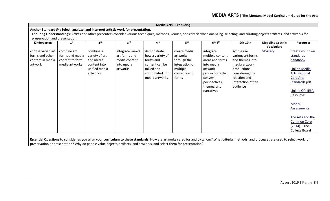| Anchor Standard #4: Select, analyze, and interpret artistic work for presentation.<br>Enduring Understandings: Artists and other presenters consider various techniques, methods, venues, and criteria when analyzing, selecting, and curating objects artifacts, and artworks for<br>preservation and presentation.<br>2 <sup>nd</sup><br>3 <sup>rd</sup><br>4 <sup>th</sup><br>5 <sup>th</sup><br>$6th-8th$<br>1 <sup>st</sup><br>9th-12th<br><b>Discipline-Specific</b><br>Kindergarten<br>Vocabulary<br>choose varied art<br>combine a<br>synthesize<br>combine art<br>integrate varied<br>demonstrate<br>create media<br>Glossary<br>integrate<br>various art forms<br>forms and other<br>forms and media<br>art forms and<br>how a variety of<br>multiple content<br>variety of art<br>artworks<br>media content<br>through the<br>areas and forms<br>and themes into<br>content to form<br>and media<br>forms and<br>content in media | <b>Resources</b>                                                                                                                                                                                                                                      |
|----------------------------------------------------------------------------------------------------------------------------------------------------------------------------------------------------------------------------------------------------------------------------------------------------------------------------------------------------------------------------------------------------------------------------------------------------------------------------------------------------------------------------------------------------------------------------------------------------------------------------------------------------------------------------------------------------------------------------------------------------------------------------------------------------------------------------------------------------------------------------------------------------------------------------------------------|-------------------------------------------------------------------------------------------------------------------------------------------------------------------------------------------------------------------------------------------------------|
|                                                                                                                                                                                                                                                                                                                                                                                                                                                                                                                                                                                                                                                                                                                                                                                                                                                                                                                                              |                                                                                                                                                                                                                                                       |
|                                                                                                                                                                                                                                                                                                                                                                                                                                                                                                                                                                                                                                                                                                                                                                                                                                                                                                                                              |                                                                                                                                                                                                                                                       |
|                                                                                                                                                                                                                                                                                                                                                                                                                                                                                                                                                                                                                                                                                                                                                                                                                                                                                                                                              |                                                                                                                                                                                                                                                       |
|                                                                                                                                                                                                                                                                                                                                                                                                                                                                                                                                                                                                                                                                                                                                                                                                                                                                                                                                              |                                                                                                                                                                                                                                                       |
| content into<br>integration of<br>into media<br>media artwork<br>artwork<br>media artworks<br>into media<br>content can be<br>unified media<br>mixed and<br>multiple<br>artworks<br>artwork<br>productions<br>coordinated into<br>artworks<br>productions that<br>considering the<br>contents and<br>reaction and<br>media artworks<br>forms<br>convey<br>interaction of the<br>perspectives,<br>themes, and<br>audience<br>narratives                                                                                                                                                                                                                                                                                                                                                                                                                                                                                                       | Create your own<br>standards<br>handbook<br>Link to Media<br><b>Arts National</b><br>Core Arts<br>Standards pdf<br>Link to OPI IEFA<br>Resources<br>Model<br>Assessments<br>The Arts and the<br><b>Common Core</b><br>$(2014)$ – The<br>College Board |

**Essential Questions to consider as you align your curriculum to these standards:** How are artworks cared for and by whom? What criteria, methods, and processes are used to select work for preservation or presentation? Why do people value objects, artifacts, and artworks, and select them for presentation?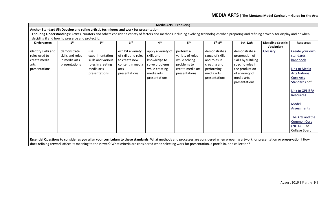| <b>Media Arts - Producing</b> |                                                 |                                                                                                                                                                                             |                                   |                                |                              |                              |                                           |                                          |                               |  |  |  |
|-------------------------------|-------------------------------------------------|---------------------------------------------------------------------------------------------------------------------------------------------------------------------------------------------|-----------------------------------|--------------------------------|------------------------------|------------------------------|-------------------------------------------|------------------------------------------|-------------------------------|--|--|--|
|                               |                                                 | Anchor Standard #5: Develop and refine artistic techniques and work for presentation.                                                                                                       |                                   |                                |                              |                              |                                           |                                          |                               |  |  |  |
|                               |                                                 | Enduring Understandings: Artists, curators and others consider a variety of factors and methods including evolving technologies when preparing and refining artwork for display and or when |                                   |                                |                              |                              |                                           |                                          |                               |  |  |  |
|                               | deciding if and how to preserve and protect it. |                                                                                                                                                                                             |                                   |                                |                              |                              |                                           |                                          |                               |  |  |  |
| Kindergarten                  | 1 <sup>st</sup>                                 | 2 <sup>nd</sup>                                                                                                                                                                             | 3 <sup>rd</sup>                   | 4 <sup>th</sup>                | 5 <sup>th</sup>              | $6th-8th$                    | 9th-12th                                  | <b>Discipline-Specific</b><br>Vocabulary | <b>Resources</b>              |  |  |  |
| identify skills and           | demonstrate                                     | use                                                                                                                                                                                         | exhibit a variety                 | apply a variety of             | perform a                    | demonstrate a                | demonstrate a                             | Glossary                                 | Create your own               |  |  |  |
| roles used to                 | skills and roles                                | experimentation                                                                                                                                                                             | of skills and roles               | skills and                     | variety of roles             | range of skills              | progression of                            |                                          | standards                     |  |  |  |
| create media<br>arts          | in media arts<br>presentations                  | skills and various<br>roles in creating                                                                                                                                                     | to create new<br>content in media | knowledge to<br>solve problems | while solving<br>problems to | and roles in<br>creating and | skills by fulfilling<br>specific roles in |                                          | handbook                      |  |  |  |
| presentations                 |                                                 | media arts                                                                                                                                                                                  | arts                              | while creating                 | create media art             | performing                   | the production                            |                                          | Link to Media                 |  |  |  |
|                               |                                                 | presentations                                                                                                                                                                               | presentations                     | media arts                     | presentations                | media arts                   | of a variety of                           |                                          | <b>Arts National</b>          |  |  |  |
|                               |                                                 |                                                                                                                                                                                             |                                   | presentations                  |                              | presentations                | media arts                                |                                          | <b>Core Arts</b>              |  |  |  |
|                               |                                                 |                                                                                                                                                                                             |                                   |                                |                              |                              | presentations                             |                                          | Standards pdf                 |  |  |  |
|                               |                                                 |                                                                                                                                                                                             |                                   |                                |                              |                              |                                           |                                          | Link to OPI IEFA<br>Resources |  |  |  |
|                               |                                                 |                                                                                                                                                                                             |                                   |                                |                              |                              |                                           |                                          | Model                         |  |  |  |
|                               |                                                 |                                                                                                                                                                                             |                                   |                                |                              |                              |                                           |                                          | Assessments                   |  |  |  |
|                               |                                                 |                                                                                                                                                                                             |                                   |                                |                              |                              |                                           |                                          | The Arts and the              |  |  |  |
|                               |                                                 |                                                                                                                                                                                             |                                   |                                |                              |                              |                                           |                                          | <b>Common Core</b>            |  |  |  |
|                               |                                                 |                                                                                                                                                                                             |                                   |                                |                              |                              |                                           |                                          | $(2014) - The$                |  |  |  |
|                               |                                                 |                                                                                                                                                                                             |                                   |                                |                              |                              |                                           |                                          | College Board                 |  |  |  |
|                               |                                                 | Essential Questions to consider as you align your curriculum to these standards: What methods and processes are considered when preparing artwork for presentation or preservation? How     |                                   |                                |                              |                              |                                           |                                          |                               |  |  |  |

does refining artwork affect its meaning to the viewer? What criteria are considered when selecting work for presentation, a portfolio, or a collection?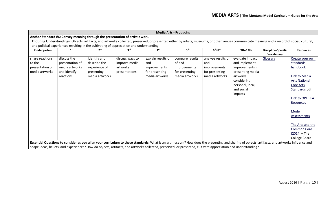|                 | <b>Media Arts - Producing</b>                                                 |                 |                                                                                           |                          |                 |                                                                                                                                                                                                |                  |                                          |                      |  |  |  |  |
|-----------------|-------------------------------------------------------------------------------|-----------------|-------------------------------------------------------------------------------------------|--------------------------|-----------------|------------------------------------------------------------------------------------------------------------------------------------------------------------------------------------------------|------------------|------------------------------------------|----------------------|--|--|--|--|
|                 | Anchor Standard #6: Convey meaning through the presentation of artistic work. |                 |                                                                                           |                          |                 |                                                                                                                                                                                                |                  |                                          |                      |  |  |  |  |
|                 |                                                                               |                 |                                                                                           |                          |                 | Enduring Understandings: Objects, artifacts, and artworks collected, preserved, or presented either by artists, museums, or other venues communicate meaning and a record of social, cultural, |                  |                                          |                      |  |  |  |  |
|                 |                                                                               |                 | and political experiences resulting in the cultivating of appreciation and understanding. |                          |                 |                                                                                                                                                                                                |                  |                                          |                      |  |  |  |  |
| Kindergarten    | 1 <sup>st</sup>                                                               | 2 <sub>nd</sub> | <b>ard</b>                                                                                | $\mathbf{A}^{\text{th}}$ | 5 <sup>th</sup> | $6th-8th$                                                                                                                                                                                      | 9th-12th         | <b>Discipline-Specific</b><br>Vocabulary | <b>Resources</b>     |  |  |  |  |
| share reactions | discuss the                                                                   | identify and    | discuss ways to                                                                           | explain results of       | compare results | analyze results of                                                                                                                                                                             | evaluate impact  | Glossary                                 | Create your own      |  |  |  |  |
| to the          | presentation of                                                               | describe the    | improve media                                                                             | and                      | of and          | and                                                                                                                                                                                            | and implement    |                                          | standards            |  |  |  |  |
| presentation of | media artworks                                                                | experience of   | artworks                                                                                  | improvements             | improvements    | improvements                                                                                                                                                                                   | improvements in  |                                          | handbook             |  |  |  |  |
| media artworks  | and identify                                                                  | presenting      | presentations                                                                             | for presenting           | for presenting  | for presenting                                                                                                                                                                                 | presenting media |                                          |                      |  |  |  |  |
|                 | reactions                                                                     | media artworks  |                                                                                           | media artworks           | media artworks  | media artworks                                                                                                                                                                                 | artworks         |                                          | Link to Media        |  |  |  |  |
|                 |                                                                               |                 |                                                                                           |                          |                 |                                                                                                                                                                                                | considering      |                                          | <b>Arts National</b> |  |  |  |  |
|                 |                                                                               |                 |                                                                                           |                          |                 |                                                                                                                                                                                                | personal, local, |                                          | <b>Core Arts</b>     |  |  |  |  |
|                 |                                                                               |                 |                                                                                           |                          |                 |                                                                                                                                                                                                | and social       |                                          | Standards pdf        |  |  |  |  |
|                 |                                                                               |                 |                                                                                           |                          |                 |                                                                                                                                                                                                | impacts          |                                          |                      |  |  |  |  |
|                 |                                                                               |                 |                                                                                           |                          |                 |                                                                                                                                                                                                |                  |                                          | Link to OPI IEFA     |  |  |  |  |
|                 |                                                                               |                 |                                                                                           |                          |                 |                                                                                                                                                                                                |                  |                                          | Resources            |  |  |  |  |
|                 |                                                                               |                 |                                                                                           |                          |                 |                                                                                                                                                                                                |                  |                                          | Model                |  |  |  |  |
|                 |                                                                               |                 |                                                                                           |                          |                 |                                                                                                                                                                                                |                  |                                          | Assessments          |  |  |  |  |
|                 |                                                                               |                 |                                                                                           |                          |                 |                                                                                                                                                                                                |                  |                                          |                      |  |  |  |  |
|                 |                                                                               |                 |                                                                                           |                          |                 |                                                                                                                                                                                                |                  |                                          | The Arts and the     |  |  |  |  |
|                 |                                                                               |                 |                                                                                           |                          |                 |                                                                                                                                                                                                |                  |                                          | <b>Common Core</b>   |  |  |  |  |
|                 |                                                                               |                 |                                                                                           |                          |                 |                                                                                                                                                                                                |                  |                                          | $(2014) - The$       |  |  |  |  |
|                 |                                                                               |                 |                                                                                           |                          |                 |                                                                                                                                                                                                |                  |                                          | College Board        |  |  |  |  |
|                 |                                                                               |                 |                                                                                           |                          |                 | Essential Questions to consider as you align your curriculum to these standards: What is an art museum? How does the presenting and sharing of objects, artifacts, and artworks influence and  |                  |                                          |                      |  |  |  |  |
|                 |                                                                               |                 |                                                                                           |                          |                 | shape ideas, beliefs, and experiences? How do objects, artifacts, and artworks collected, preserved, or presented, cultivate appreciation and understanding?                                   |                  |                                          |                      |  |  |  |  |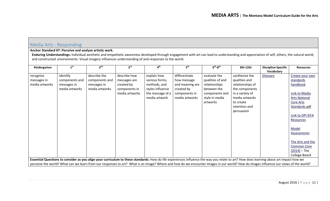## <span id="page-10-0"></span>Media Arts - Responding

#### **Anchor Standard #7: Perceive and analyze artistic work.**

Enduring Understandings: Individual aesthetic and empathetic awareness developed through engagement with art can lead to understanding and appreciation of self, others, the natural world, and constructed environments. Visual imagery influences understanding of and responses to the world.

| Kindergarten   | 1 <sup>st</sup> | 2 <sup>nd</sup> | 3 <sup>rd</sup>                                                                                                                                                                         | 4 <sup>th</sup>  | 5 <sup>th</sup> | $6th-8th$        | 9th-12th         | <b>Discipline-Specific</b> | <b>Resources</b>     |
|----------------|-----------------|-----------------|-----------------------------------------------------------------------------------------------------------------------------------------------------------------------------------------|------------------|-----------------|------------------|------------------|----------------------------|----------------------|
|                |                 |                 |                                                                                                                                                                                         |                  |                 |                  |                  | Vocabulary                 |                      |
| recognize      | identify        | describe the    | describe how                                                                                                                                                                            | explain how      | differentiate   | evaluate the     | synthesize the   | Glossary                   | Create your own      |
| messages in    | components and  | components and  | messages are                                                                                                                                                                            | various forms,   | how message     | qualities of and | qualities and    |                            | standards            |
| media artworks | messages in     | messages in     | created by                                                                                                                                                                              | methods, and     | and meaning are | relationships    | relationships of |                            | handbook             |
|                | media artworks  | media artworks  | components in                                                                                                                                                                           | styles influence | created by      | between the      | the components   |                            |                      |
|                |                 |                 | media artworks                                                                                                                                                                          | the message of a | components in   | components and   | in a variety of  |                            | Link to Media        |
|                |                 |                 |                                                                                                                                                                                         | media artwork    | media artworks  | style in media   | media artworks   |                            | <b>Arts National</b> |
|                |                 |                 |                                                                                                                                                                                         |                  |                 | artworks         | to create        |                            | Core Arts            |
|                |                 |                 |                                                                                                                                                                                         |                  |                 |                  | intention and    |                            | Standards pdf        |
|                |                 |                 |                                                                                                                                                                                         |                  |                 |                  | persuasion       |                            |                      |
|                |                 |                 |                                                                                                                                                                                         |                  |                 |                  |                  |                            | Link to OPI IEFA     |
|                |                 |                 |                                                                                                                                                                                         |                  |                 |                  |                  |                            | Resources            |
|                |                 |                 |                                                                                                                                                                                         |                  |                 |                  |                  |                            |                      |
|                |                 |                 |                                                                                                                                                                                         |                  |                 |                  |                  |                            | Model                |
|                |                 |                 |                                                                                                                                                                                         |                  |                 |                  |                  |                            | <b>Assessments</b>   |
|                |                 |                 |                                                                                                                                                                                         |                  |                 |                  |                  |                            |                      |
|                |                 |                 |                                                                                                                                                                                         |                  |                 |                  |                  |                            | The Arts and the     |
|                |                 |                 |                                                                                                                                                                                         |                  |                 |                  |                  |                            | <b>Common Core</b>   |
|                |                 |                 |                                                                                                                                                                                         |                  |                 |                  |                  |                            | $(2014) - The$       |
|                |                 |                 |                                                                                                                                                                                         |                  |                 |                  |                  |                            | College Board        |
|                |                 |                 | Essential Questions to consider as you align your curriculum to these standards: How do life experiences influence the way you relate to art? How does learning about art impact how we |                  |                 |                  |                  |                            |                      |
|                |                 |                 | perceive the world? What can we learn from our responses to art? What is an image? Where and how do we encounter images in our world? How do images influence our views of the world?   |                  |                 |                  |                  |                            |                      |
|                |                 |                 |                                                                                                                                                                                         |                  |                 |                  |                  |                            |                      |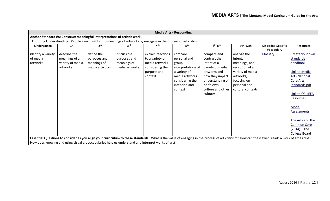| <b>Media Arts - Responding</b>             |                                                                            |                                                             |                                                              |                                                                                                       |                                                                                                                                                                                                  |                                                                                                                                                                     |                                                                                                                                                |                                          |                                                                                                                                                                                                                                      |  |  |  |
|--------------------------------------------|----------------------------------------------------------------------------|-------------------------------------------------------------|--------------------------------------------------------------|-------------------------------------------------------------------------------------------------------|--------------------------------------------------------------------------------------------------------------------------------------------------------------------------------------------------|---------------------------------------------------------------------------------------------------------------------------------------------------------------------|------------------------------------------------------------------------------------------------------------------------------------------------|------------------------------------------|--------------------------------------------------------------------------------------------------------------------------------------------------------------------------------------------------------------------------------------|--|--|--|
|                                            | Anchor Standard #8: Construct meaningful interpretations of artistic work. |                                                             |                                                              |                                                                                                       |                                                                                                                                                                                                  |                                                                                                                                                                     |                                                                                                                                                |                                          |                                                                                                                                                                                                                                      |  |  |  |
|                                            |                                                                            |                                                             |                                                              |                                                                                                       | Enduring Understanding: People gain insights into meanings of artworks by engaging in the process of art criticism.                                                                              |                                                                                                                                                                     |                                                                                                                                                |                                          |                                                                                                                                                                                                                                      |  |  |  |
| Kindergarten                               | 1 <sup>st</sup>                                                            | 2 <sub>nd</sub>                                             | 3 <sup>rd</sup>                                              | $\mathbf{A}^{\text{th}}$                                                                              | 5 <sup>th</sup>                                                                                                                                                                                  | $6th-8th$                                                                                                                                                           | 9th-12th                                                                                                                                       | <b>Discipline-Specific</b><br>Vocabulary | <b>Resources</b>                                                                                                                                                                                                                     |  |  |  |
| identify a variety<br>of media<br>artworks | describe the<br>meanings of a<br>variety of media<br>artworks              | define the<br>purposes and<br>meanings of<br>media artworks | discuss the<br>purposes and<br>meanings of<br>media artworks | explain reactions<br>to a variety of<br>media artworks<br>considering their<br>purpose and<br>context | compare<br>personal and<br>group<br>interpretations of<br>a variety of<br>media artworks<br>considering their<br>intention and<br>context                                                        | compare and<br>contrast the<br>intent of a<br>variety of media<br>artworks and<br>how they impact<br>understanding of<br>one's own<br>culture and other<br>cultures | analyze the<br>intent,<br>meanings, and<br>reception of a<br>variety of media<br>artworks,<br>focusing on<br>personal and<br>cultural contexts | Glossary                                 | Create your own<br>standards<br>handbook<br>Link to Media<br><b>Arts National</b><br>Core Arts<br>Standards pdf<br>Link to OPI IEFA<br>Resources<br>Model<br>Assessments<br>The Arts and the<br><b>Common Core</b><br>$(2014)$ – The |  |  |  |
|                                            |                                                                            |                                                             |                                                              | How does knowing and using visual art vocabularies help us understand and interpret works of art?     | Essential Questions to consider as you align your curriculum to these standards: What is the value of engaging in the process of art criticism? How can the viewer "read" a work of art as text? |                                                                                                                                                                     |                                                                                                                                                |                                          | College Board                                                                                                                                                                                                                        |  |  |  |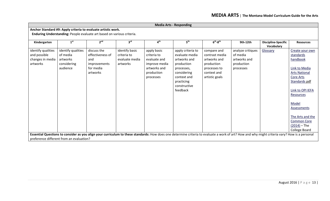| <b>Media Arts - Responding</b>                                         |                                                                       |                                                                                 |                                                             |                                                                                                        |                                                                                                                                                                                                |                                                                                                              |                                                                          |                                          |                                                                                                                                                                                                                                             |  |  |  |
|------------------------------------------------------------------------|-----------------------------------------------------------------------|---------------------------------------------------------------------------------|-------------------------------------------------------------|--------------------------------------------------------------------------------------------------------|------------------------------------------------------------------------------------------------------------------------------------------------------------------------------------------------|--------------------------------------------------------------------------------------------------------------|--------------------------------------------------------------------------|------------------------------------------|---------------------------------------------------------------------------------------------------------------------------------------------------------------------------------------------------------------------------------------------|--|--|--|
| Anchor Standard #9: Apply criteria to evaluate artistic work.          |                                                                       |                                                                                 |                                                             |                                                                                                        |                                                                                                                                                                                                |                                                                                                              |                                                                          |                                          |                                                                                                                                                                                                                                             |  |  |  |
| Enduring Understanding: People evaluate art based on various criteria. |                                                                       |                                                                                 |                                                             |                                                                                                        |                                                                                                                                                                                                |                                                                                                              |                                                                          |                                          |                                                                                                                                                                                                                                             |  |  |  |
| Kindergarten                                                           | 1 <sup>st</sup>                                                       | 2 <sup>nd</sup>                                                                 | 3 <sup>rd</sup>                                             | 4 <sup>th</sup>                                                                                        | 5 <sup>th</sup>                                                                                                                                                                                | $6th-8th$                                                                                                    | 9th-12th                                                                 | <b>Discipline-Specific</b><br>Vocabulary | <b>Resources</b>                                                                                                                                                                                                                            |  |  |  |
| identify qualities<br>and possible<br>changes in media<br>artworks     | identify qualities<br>of media<br>artworks<br>considering<br>audience | discuss the<br>effectiveness of<br>and<br>improvements<br>for media<br>artworks | identify basic<br>criteria to<br>evaluate media<br>artworks | apply basic<br>criteria to<br>evaluate and<br>improve media<br>artworks and<br>production<br>processes | apply criteria to<br>evaluate media<br>artworks and<br>production<br>processes,<br>considering<br>context and<br>practicing<br>constructive<br>feedback                                        | compare and<br>contrast media<br>artworks and<br>production<br>processes to<br>context and<br>artistic goals | analyze critiques<br>of media<br>artworks and<br>production<br>processes | Glossary                                 | Create your own<br>standards<br>handbook<br>Link to Media<br><b>Arts National</b><br><b>Core Arts</b><br>Standards pdf<br>Link to OPI IEFA<br>Resources<br>Model<br>Assessments<br>The Arts and the<br><b>Common Core</b><br>$(2014)$ – The |  |  |  |
|                                                                        |                                                                       |                                                                                 |                                                             |                                                                                                        |                                                                                                                                                                                                |                                                                                                              |                                                                          |                                          | College Board                                                                                                                                                                                                                               |  |  |  |
|                                                                        | preference different from an evaluation?                              |                                                                                 |                                                             |                                                                                                        | Essential Questions to consider as you align your curriculum to these standards: How does one determine criteria to evaluate a work of art? How and why might criteria vary? How is a personal |                                                                                                              |                                                                          |                                          |                                                                                                                                                                                                                                             |  |  |  |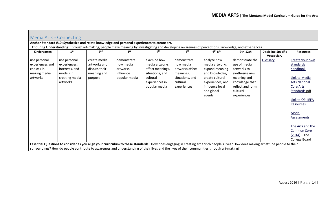<span id="page-13-0"></span>

| Media Arts - Connecting    |                             |                              |                       |                                                                                              |                              |                                                                                                                                                                                      |                               |                                          |                      |
|----------------------------|-----------------------------|------------------------------|-----------------------|----------------------------------------------------------------------------------------------|------------------------------|--------------------------------------------------------------------------------------------------------------------------------------------------------------------------------------|-------------------------------|------------------------------------------|----------------------|
|                            |                             |                              |                       | Anchor Standard #10: Synthesize and relate knowledge and personal experiences to create art. |                              |                                                                                                                                                                                      |                               |                                          |                      |
|                            |                             |                              |                       |                                                                                              |                              | Enduring Understanding: Through art-making, people make meaning by investigating and developing awareness of perceptions, knowledge, and experiences.                                |                               |                                          |                      |
| Kindergarten               | 1 <sup>st</sup>             | 2 <sub>nd</sub>              | 3 <sup>rd</sup>       | 4 <sup>th</sup>                                                                              | 5 <sup>th</sup>              | $6th-8th$                                                                                                                                                                            | 9th-12th                      | <b>Discipline-Specific</b><br>Vocabulary | <b>Resources</b>     |
| use personal               | use personal                | create media                 | demonstrate           | examine how                                                                                  | demonstrate                  | analyze how                                                                                                                                                                          | demonstrate the               | Glossary                                 | Create your own      |
| experiences and            | experiences,                | artworks and                 | how media             | media artworks                                                                               | how media                    | media artworks                                                                                                                                                                       | use of media                  |                                          | standards            |
| choices in<br>making media | interests, and<br>models in | discuss their<br>meaning and | artworks<br>influence | affect meanings,<br>situations, and                                                          | artworks affect<br>meanings, | expand meaning<br>and knowledge,                                                                                                                                                     | artworks to<br>synthesize new |                                          | handbook             |
| artworks                   | creating media              | purpose                      | popular media         | cultural                                                                                     | situations, and              | create cultural                                                                                                                                                                      | meaning and                   |                                          | Link to Media        |
|                            | artworks                    |                              |                       | experiences in                                                                               | cultural                     | experiences, and                                                                                                                                                                     | knowledge that                |                                          | <b>Arts National</b> |
|                            |                             |                              |                       | popular media                                                                                | experiences                  | influence local                                                                                                                                                                      | reflect and form              |                                          | Core Arts            |
|                            |                             |                              |                       |                                                                                              |                              | and global                                                                                                                                                                           | cultural                      |                                          | Standards pdf        |
|                            |                             |                              |                       |                                                                                              |                              | events                                                                                                                                                                               | experiences                   |                                          |                      |
|                            |                             |                              |                       |                                                                                              |                              |                                                                                                                                                                                      |                               |                                          | Link to OPI IEFA     |
|                            |                             |                              |                       |                                                                                              |                              |                                                                                                                                                                                      |                               |                                          | Resources            |
|                            |                             |                              |                       |                                                                                              |                              |                                                                                                                                                                                      |                               |                                          | Model                |
|                            |                             |                              |                       |                                                                                              |                              |                                                                                                                                                                                      |                               |                                          | Assessments          |
|                            |                             |                              |                       |                                                                                              |                              |                                                                                                                                                                                      |                               |                                          | The Arts and the     |
|                            |                             |                              |                       |                                                                                              |                              |                                                                                                                                                                                      |                               |                                          | <b>Common Core</b>   |
|                            |                             |                              |                       |                                                                                              |                              |                                                                                                                                                                                      |                               |                                          | $(2014) - The$       |
|                            |                             |                              |                       |                                                                                              |                              |                                                                                                                                                                                      |                               |                                          | College Board        |
|                            |                             |                              |                       |                                                                                              |                              | Essential Questions to consider as you align your curriculum to these standards: How does engaging in creating art enrich people's lives? How does making art attune people to their |                               |                                          |                      |
|                            |                             |                              |                       |                                                                                              |                              | surroundings? How do people contribute to awareness and understanding of their lives and the lives of their communities through art-making?                                          |                               |                                          |                      |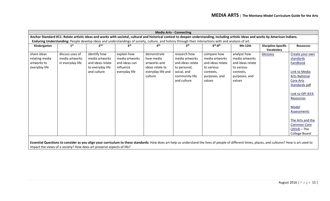|                                                                                                                                                                                                   |                  |                  |                 |                   | <b>Media Arts - Connecting</b> |                         |                         |                                          |                                   |
|---------------------------------------------------------------------------------------------------------------------------------------------------------------------------------------------------|------------------|------------------|-----------------|-------------------|--------------------------------|-------------------------|-------------------------|------------------------------------------|-----------------------------------|
| Anchor Standard #11: Relate artistic ideas and works with societal, cultural and historical context to deepen understanding, including artistic ideas and works by American Indians.              |                  |                  |                 |                   |                                |                         |                         |                                          |                                   |
| Enduring Understanding: People develop ideas and understandings of society, culture, and history through their interactions with and analysis of art.                                             |                  |                  |                 |                   |                                |                         |                         |                                          |                                   |
| Kindergarten                                                                                                                                                                                      | 1 <sup>st</sup>  | 2 <sup>nd</sup>  | 3 <sup>rd</sup> | ⊿th               | 5 <sup>th</sup>                | $6th-8th$               | 9th-12th                | <b>Discipline-Specific</b><br>Vocabulary | <b>Resources</b>                  |
| share ideas                                                                                                                                                                                       | discuss uses of  | identify how     | explain how     | demonstrate       | research how                   | compare how             | analyze how             | Glossary                                 | Create your own                   |
| relating media                                                                                                                                                                                    | media artworks   | media artworks   | media artworks  | how media         | media artworks                 | media artworks          | media artworks          |                                          | standards                         |
| artworks to                                                                                                                                                                                       | in everyday life | and ideas relate | and ideas can   | artworks and      | and ideas relate               | and ideas relate        | and ideas relate        |                                          | handbook                          |
| everyday life                                                                                                                                                                                     |                  | to everyday life | influence       | ideas relate to   | to personal,                   | to various              | to various              |                                          |                                   |
|                                                                                                                                                                                                   |                  | and culture      | everyday life   | everyday life and | social, and                    | contexts,               | contexts,               |                                          | Link to Media                     |
|                                                                                                                                                                                                   |                  |                  |                 | culture           | community life<br>and culture  | purposes, and<br>values | purposes, and<br>values |                                          | <b>Arts National</b><br>Core Arts |
|                                                                                                                                                                                                   |                  |                  |                 |                   |                                |                         |                         |                                          | Standards pdf                     |
|                                                                                                                                                                                                   |                  |                  |                 |                   |                                |                         |                         |                                          |                                   |
|                                                                                                                                                                                                   |                  |                  |                 |                   |                                |                         |                         |                                          | Link to OPI IEFA                  |
|                                                                                                                                                                                                   |                  |                  |                 |                   |                                |                         |                         |                                          | Resources                         |
|                                                                                                                                                                                                   |                  |                  |                 |                   |                                |                         |                         |                                          | Model                             |
|                                                                                                                                                                                                   |                  |                  |                 |                   |                                |                         |                         |                                          | Assessments                       |
|                                                                                                                                                                                                   |                  |                  |                 |                   |                                |                         |                         |                                          |                                   |
|                                                                                                                                                                                                   |                  |                  |                 |                   |                                |                         |                         |                                          | The Arts and the                  |
|                                                                                                                                                                                                   |                  |                  |                 |                   |                                |                         |                         |                                          | <b>Common Core</b>                |
|                                                                                                                                                                                                   |                  |                  |                 |                   |                                |                         |                         |                                          | $(2014) - The$                    |
|                                                                                                                                                                                                   |                  |                  |                 |                   |                                |                         |                         |                                          | College Board                     |
| Essential Questions to consider as you align your curriculum to these standards: How does art help us understand the lives of people of different times, places, and cultures? How is art used to |                  |                  |                 |                   |                                |                         |                         |                                          |                                   |

impact the views of a society? How does art preserve aspects of life?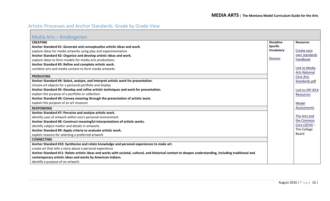# <span id="page-15-0"></span>Artistic Processes and Anchor Standards: Grade by Grade View

<span id="page-15-1"></span>

| Media Arts - Kindergarten                                                                                                                               |                 |                      |
|---------------------------------------------------------------------------------------------------------------------------------------------------------|-----------------|----------------------|
| <b>CREATING</b>                                                                                                                                         | Discipline-     | <b>Resources</b>     |
| Anchor Standard #1: Generate and conceptualize artistic ideas and work.                                                                                 | <b>Specific</b> |                      |
| explore ideas for media artworks using play and experimentation                                                                                         | Vocabulary      | Create your          |
| Anchor Standard #2: Organize and develop artistic ideas and work.                                                                                       |                 | own standards        |
| explore ideas to form models for media arts productions                                                                                                 | Glossary        | handbook             |
| Anchor Standard #3: Refine and complete artistic work.                                                                                                  |                 |                      |
| combine arts and media content to form media artworks                                                                                                   |                 | Link to Media        |
|                                                                                                                                                         |                 | <b>Arts National</b> |
| <b>PRODUCING</b>                                                                                                                                        |                 | <b>Core Arts</b>     |
| Anchor Standard #4: Select, analyze, and interpret artistic work for presentation.                                                                      |                 | Standards pdf        |
| choose art objects for a personal portfolio and display                                                                                                 |                 |                      |
| Anchor Standard #5: Develop and refine artistic techniques and work for presentation.                                                                   |                 | Link to OPI IEFA     |
| explain the purpose of a portfolio or collection                                                                                                        |                 | Resources            |
| Anchor Standard #6: Convey meaning through the presentation of artistic work.                                                                           |                 |                      |
| explain the purpose of an art museum                                                                                                                    |                 | Model                |
| <b>RESPONDING</b>                                                                                                                                       |                 | Assessments          |
| Anchor Standard #7: Perceive and analyze artistic work.                                                                                                 |                 |                      |
| identify uses of artwork within one's personal environment                                                                                              |                 | The Arts and         |
| Anchor Standard #8: Construct meaningful interpretations of artistic works.                                                                             |                 | the Common           |
| identify subject matter and details in artworks                                                                                                         |                 | Core (2014) -        |
| Anchor Standard #9: Apply criteria to evaluate artistic work.                                                                                           |                 | The College          |
| explain reasons for selecting a preferred artwork                                                                                                       |                 | Board                |
| <b>CONNECTING</b>                                                                                                                                       |                 |                      |
| Anchor Standard #10: Synthesize and relate knowledge and personal experiences to make art.                                                              |                 |                      |
| create art that tells a story about a personal experience                                                                                               |                 |                      |
| Anchor Standard #11: Relate artistic ideas and works with societal, cultural, and historical context to deepen understanding, including traditional and |                 |                      |
| contemporary artistic ideas and works by American Indians.                                                                                              |                 |                      |
| identify a purpose of an artwork                                                                                                                        |                 |                      |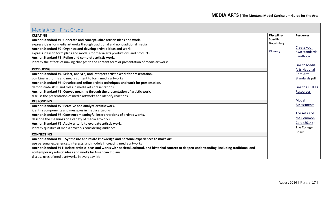<span id="page-16-0"></span>

| Media Arts – First Grade                                                                                                                                |                 |                      |
|---------------------------------------------------------------------------------------------------------------------------------------------------------|-----------------|----------------------|
| <b>CREATING</b>                                                                                                                                         | Discipline-     | <b>Resources</b>     |
| Anchor Standard #1: Generate and conceptualize artistic ideas and work.                                                                                 | <b>Specific</b> |                      |
| express ideas for media artworks through traditional and nontraditional media                                                                           | Vocabulary      |                      |
| Anchor Standard #2: Organize and develop artistic ideas and work.                                                                                       |                 | Create your          |
| express ideas to form plans and models for media arts productions and products                                                                          | Glossary        | own standards        |
| Anchor Standard #3: Refine and complete artistic work.                                                                                                  |                 | handbook             |
| identify the effects of making changes to the content form or presentation of media artworks                                                            |                 |                      |
|                                                                                                                                                         |                 | Link to Media        |
| <b>PRODUCING</b>                                                                                                                                        |                 | <b>Arts National</b> |
| Anchor Standard #4: Select, analyze, and interpret artistic work for presentation.                                                                      |                 | Core Arts            |
| combine art forms and media content to form media artworks                                                                                              |                 | Standards pdf        |
| Anchor Standard #5: Develop and refine artistic techniques and work for presentation.                                                                   |                 |                      |
| demonstrate skills and roles in media arts presentations                                                                                                |                 | Link to OPI IEFA     |
| Anchor Standard #6: Convey meaning through the presentation of artistic work.                                                                           |                 | Resources            |
| discuss the presentation of media artworks and identify reactions                                                                                       |                 |                      |
| <b>RESPONDING</b>                                                                                                                                       |                 | Model                |
| Anchor Standard #7: Perceive and analyze artistic work.                                                                                                 |                 | Assessments          |
| identify components and messages in media artworks                                                                                                      |                 |                      |
| Anchor Standard #8: Construct meaningful interpretations of artistic works.                                                                             |                 | The Arts and         |
| describe the meanings of a variety of media artworks                                                                                                    |                 | the Common           |
| Anchor Standard #9: Apply criteria to evaluate artistic work.                                                                                           |                 | Core (2014) -        |
| identify qualities of media artworks considering audience                                                                                               |                 | The College          |
| <b>CONNECTING</b>                                                                                                                                       |                 | <b>Board</b>         |
| Anchor Standard #10: Synthesize and relate knowledge and personal experiences to make art.                                                              |                 |                      |
| use personal experiences, interests, and models in creating media artworks                                                                              |                 |                      |
| Anchor Standard #11: Relate artistic ideas and works with societal, cultural, and historical context to deepen understanding, including traditional and |                 |                      |
| contemporary artistic ideas and works by American Indians.                                                                                              |                 |                      |
| discuss uses of media artworks in everyday life                                                                                                         |                 |                      |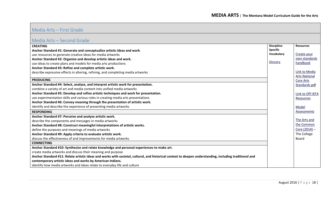#### <span id="page-17-0"></span>Media Arts – Second Grade

| IVICUIU ALUS - DUUUTIU OLUUC                                                                                                                            |                 |                      |
|---------------------------------------------------------------------------------------------------------------------------------------------------------|-----------------|----------------------|
| <b>CREATING</b>                                                                                                                                         | Discipline-     | <b>Resources</b>     |
| Anchor Standard #1: Generate and conceptualize artistic ideas and work.                                                                                 | <b>Specific</b> |                      |
| use resources to generate creative ideas for media artworks                                                                                             | Vocabulary      | Create your          |
| Anchor Standard #2: Organize and develop artistic ideas and work.                                                                                       |                 | own standards        |
| use ideas to create plans and models for media arts productions                                                                                         | Glossary        | handbook             |
| Anchor Standard #3: Refine and complete artistic work.                                                                                                  |                 |                      |
| describe expressive effects in altering, refining, and completing media artworks                                                                        |                 | Link to Media        |
|                                                                                                                                                         |                 | <b>Arts National</b> |
| <b>PRODUCING</b>                                                                                                                                        |                 | Core Arts            |
| Anchor Standard #4: Select, analyze, and interpret artistic work for presentation.                                                                      |                 | Standards pdf        |
| combine a variety of art and media content into unified media artworks                                                                                  |                 |                      |
| Anchor Standard #5: Develop and refine artistic techniques and work for presentation.                                                                   |                 | Link to OPI IEFA     |
| use experimentation skills and various roles in creating media arts presentations                                                                       |                 | Resources            |
| Anchor Standard #6: Convey meaning through the presentation of artistic work.                                                                           |                 |                      |
| identify and describe the experience of presenting media artworks                                                                                       |                 | Model                |
| <b>RESPONDING</b>                                                                                                                                       |                 | Assessments          |
| Anchor Standard #7: Perceive and analyze artistic work.                                                                                                 |                 |                      |
| describe the components and messages in media artworks                                                                                                  |                 | The Arts and         |
| Anchor Standard #8: Construct meaningful interpretations of artistic works.                                                                             |                 | the Common           |
| define the purposes and meanings of media artworks                                                                                                      |                 | Core (2014) -        |
| Anchor Standard #9: Apply criteria to evaluate artistic work.                                                                                           |                 | The College          |
| discuss the effectiveness of and improvements for media artworks                                                                                        |                 | Board                |
| <b>CONNECTING</b>                                                                                                                                       |                 |                      |
| Anchor Standard #10: Synthesize and relate knowledge and personal experiences to make art.                                                              |                 |                      |
| create media artworks and discuss their meaning and purpose                                                                                             |                 |                      |
| Anchor Standard #11: Relate artistic ideas and works with societal, cultural, and historical context to deepen understanding, including traditional and |                 |                      |
| contemporary artistic ideas and works by American Indians.                                                                                              |                 |                      |
| identify how media artworks and ideas relate to everyday life and culture                                                                               |                 |                      |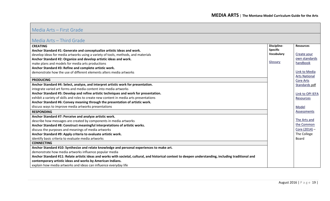## <span id="page-18-0"></span>Media Arts – Third Grade

| <b>CREATING</b>                                                                                                                                         | Discipline-     | <b>Resources</b>     |
|---------------------------------------------------------------------------------------------------------------------------------------------------------|-----------------|----------------------|
| Anchor Standard #1: Generate and conceptualize artistic ideas and work.                                                                                 | <b>Specific</b> |                      |
| develop ideas for media artworks using a variety of tools, methods, and materials                                                                       | Vocabulary      | Create your          |
| Anchor Standard #2: Organize and develop artistic ideas and work.                                                                                       |                 | own standards        |
| make plans and models for media arts productions                                                                                                        | Glossary        | handbook             |
| Anchor Standard #3: Refine and complete artistic work.                                                                                                  |                 |                      |
| demonstrate how the use of different elements alters media artworks                                                                                     |                 | Link to Media        |
|                                                                                                                                                         |                 | <b>Arts National</b> |
| <b>PRODUCING</b>                                                                                                                                        |                 | <b>Core Arts</b>     |
| Anchor Standard #4: Select, analyze, and interpret artistic work for presentation.                                                                      |                 | Standards pdf        |
| integrate varied art forms and media content into media artworks                                                                                        |                 |                      |
| Anchor Standard #5: Develop and refine artistic techniques and work for presentation.                                                                   |                 | Link to OPI IEFA     |
| exhibit a variety of skills and roles to create new content in media arts presentations                                                                 |                 | Resources            |
| Anchor Standard #6: Convey meaning through the presentation of artistic work.                                                                           |                 |                      |
| discuss ways to improve media artworks presentations                                                                                                    |                 | Model                |
| <b>RESPONDING</b>                                                                                                                                       |                 | Assessments          |
| Anchor Standard #7: Perceive and analyze artistic work.                                                                                                 |                 |                      |
| describe how messages are created by components in media artworks                                                                                       |                 | The Arts and         |
| Anchor Standard #8: Construct meaningful interpretations of artistic works.                                                                             |                 | the Common           |
| discuss the purposes and meanings of media artworks                                                                                                     |                 | Core (2014) -        |
| Anchor Standard #9: Apply criteria to evaluate artistic work.                                                                                           |                 | The College          |
| identify basic criteria to evaluate media artworks                                                                                                      |                 | Board                |
| <b>CONNECTING</b>                                                                                                                                       |                 |                      |
| Anchor Standard #10: Synthesize and relate knowledge and personal experiences to make art.                                                              |                 |                      |
| demonstrate how media artworks influence popular media                                                                                                  |                 |                      |
| Anchor Standard #11: Relate artistic ideas and works with societal, cultural, and historical context to deepen understanding, including traditional and |                 |                      |
| contemporary artistic ideas and works by American Indians.                                                                                              |                 |                      |
| explain how media artworks and ideas can influence everyday life                                                                                        |                 |                      |
|                                                                                                                                                         |                 |                      |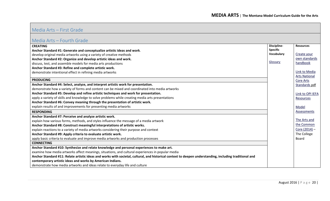## <span id="page-19-0"></span>Media Arts – Fourth Grade

| <b>CREATING</b>                                                                                                                                         | Discipline-     | <b>Resources</b>     |
|---------------------------------------------------------------------------------------------------------------------------------------------------------|-----------------|----------------------|
| Anchor Standard #1: Generate and conceptualize artistic ideas and work.                                                                                 | <b>Specific</b> |                      |
| develop original media artworks using a variety of creative methods                                                                                     | Vocabulary      | Create your          |
| Anchor Standard #2: Organize and develop artistic ideas and work.                                                                                       |                 | own standards        |
| discuss, test, and assemble models for media arts productions                                                                                           | Glossary        | handbook             |
| Anchor Standard #3: Refine and complete artistic work.                                                                                                  |                 |                      |
| demonstrate intentional effect in refining media artworks                                                                                               |                 | Link to Media        |
|                                                                                                                                                         |                 | <b>Arts National</b> |
| <b>PRODUCING</b>                                                                                                                                        |                 | Core Arts            |
| Anchor Standard #4: Select, analyze, and interpret artistic work for presentation.                                                                      |                 | Standards pdf        |
| demonstrate how a variety of forms and content can be mixed and coordinated into media artworks                                                         |                 |                      |
| Anchor Standard #5: Develop and refine artistic techniques and work for presentation.                                                                   |                 | Link to OPI IEFA     |
| apply a variety of skills and knowledge to solve problems while creating media arts presentations                                                       |                 | Resources            |
| Anchor Standard #6: Convey meaning through the presentation of artistic work.                                                                           |                 |                      |
| explain results of and improvements for presenting media artworks                                                                                       |                 | Model                |
| <b>RESPONDING</b>                                                                                                                                       |                 | Assessments          |
| Anchor Standard #7: Perceive and analyze artistic work.                                                                                                 |                 |                      |
| explain how various forms, methods, and styles influence the message of a media artwork                                                                 |                 | The Arts and         |
| Anchor Standard #8: Construct meaningful interpretations of artistic works.                                                                             |                 | the Common           |
| explain reactions to a variety of media artworks considering their purpose and context                                                                  |                 | Core (2014) -        |
| Anchor Standard #9: Apply criteria to evaluate artistic work.                                                                                           |                 | The College          |
| apply basic criteria to evaluate and improve media artworks and production processes                                                                    |                 | Board                |
| <b>CONNECTING</b>                                                                                                                                       |                 |                      |
| Anchor Standard #10: Synthesize and relate knowledge and personal experiences to make art.                                                              |                 |                      |
| examine how media artworks affect meanings, situations, and cultural experiences in popular media                                                       |                 |                      |
| Anchor Standard #11: Relate artistic ideas and works with societal, cultural, and historical context to deepen understanding, including traditional and |                 |                      |
| contemporary artistic ideas and works by American Indians.                                                                                              |                 |                      |
| demonstrate how media artworks and ideas relate to everyday life and culture                                                                            |                 |                      |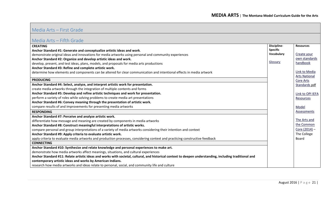## <span id="page-20-0"></span>Media Arts – Fifth Grade

| IVIC GIUM I II II II UIUUC                                                                                                                              |                 |                      |
|---------------------------------------------------------------------------------------------------------------------------------------------------------|-----------------|----------------------|
| <b>CREATING</b>                                                                                                                                         | Discipline-     | <b>Resources</b>     |
| Anchor Standard #1: Generate and conceptualize artistic ideas and work.                                                                                 | <b>Specific</b> |                      |
| demonstrate original ideas and innovations for media artworks using personal and community experiences                                                  | Vocabulary      | Create your          |
| Anchor Standard #2: Organize and develop artistic ideas and work.                                                                                       |                 | own standards        |
| develop, present, and test ideas, plans, models, and proposals for media arts productions                                                               | Glossary        | handbook             |
| Anchor Standard #3: Refine and complete artistic work.                                                                                                  |                 |                      |
| determine how elements and components can be altered for clear communication and intentional effects in media artwork                                   |                 | Link to Media        |
|                                                                                                                                                         |                 | <b>Arts National</b> |
| <b>PRODUCING</b>                                                                                                                                        |                 | Core Arts            |
| Anchor Standard #4: Select, analyze, and interpret artistic work for presentation.                                                                      |                 | Standards pdf        |
| create media artworks through the integration of multiple contents and forms                                                                            |                 |                      |
| Anchor Standard #5: Develop and refine artistic techniques and work for presentation.                                                                   |                 | Link to OPI IEFA     |
| perform a variety of roles while solving problems to create media art presentations                                                                     |                 | Resources            |
| Anchor Standard #6: Convey meaning through the presentation of artistic work.                                                                           |                 |                      |
| compare results of and improvements for presenting media artworks                                                                                       |                 | Model                |
| <b>RESPONDING</b>                                                                                                                                       |                 | Assessments          |
| Anchor Standard #7: Perceive and analyze artistic work.                                                                                                 |                 |                      |
| differentiate how message and meaning are created by components in media artworks                                                                       |                 | The Arts and         |
| Anchor Standard #8: Construct meaningful interpretations of artistic works.                                                                             |                 | the Common           |
| compare personal and group interpretations of a variety of media artworks considering their intention and context                                       |                 | Core (2014) -        |
| Anchor Standard #9: Apply criteria to evaluate artistic work.                                                                                           |                 | The College          |
| apply criteria to evaluate media artworks and production processes, considering context and practicing constructive feedback                            |                 | Board                |
| <b>CONNECTING</b>                                                                                                                                       |                 |                      |
| Anchor Standard #10: Synthesize and relate knowledge and personal experiences to make art.                                                              |                 |                      |
| demonstrate how media artworks affect meanings, situations, and cultural experiences                                                                    |                 |                      |
| Anchor Standard #11: Relate artistic ideas and works with societal, cultural, and historical context to deepen understanding, including traditional and |                 |                      |
| contemporary artistic ideas and works by American Indians.                                                                                              |                 |                      |
| research how media artworks and ideas relate to personal, social, and community life and culture                                                        |                 |                      |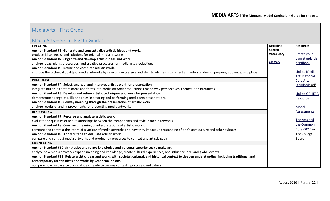## <span id="page-21-0"></span>Media Arts – Sixth - Eighth Grades

| <b>CREATING</b>                                                                                                                                            | Discipline-     | <b>Resources</b>     |
|------------------------------------------------------------------------------------------------------------------------------------------------------------|-----------------|----------------------|
| Anchor Standard #1: Generate and conceptualize artistic ideas and work.                                                                                    | <b>Specific</b> |                      |
| produce ideas, goals, and solutions for original media artworks                                                                                            | Vocabulary      | Create your          |
| Anchor Standard #2: Organize and develop artistic ideas and work.                                                                                          |                 | own standards        |
| analyze ideas, plans, prototypes, and creative processes for media arts productions                                                                        | Glossary        | handbook             |
| Anchor Standard #3: Refine and complete artistic work.                                                                                                     |                 |                      |
| improve the technical quality of media artworks by selecting expressive and stylistic elements to reflect an understanding of purpose, audience, and place |                 | Link to Media        |
|                                                                                                                                                            |                 | <b>Arts National</b> |
| <b>PRODUCING</b>                                                                                                                                           |                 | Core Arts            |
| Anchor Standard #4: Select, analyze, and interpret artistic work for presentation.                                                                         |                 | Standards pdf        |
| integrate multiple content areas and forms into media artwork productions that convey perspectives, themes, and narratives                                 |                 |                      |
| Anchor Standard #5: Develop and refine artistic techniques and work for presentation.                                                                      |                 | Link to OPI IEFA     |
| demonstrate a range of skills and roles in creating and performing media arts presentations                                                                |                 | Resources            |
| Anchor Standard #6: Convey meaning through the presentation of artistic work.                                                                              |                 |                      |
| analyze results of and improvements for presenting media artworks                                                                                          |                 | Model                |
| <b>RESPONDING</b>                                                                                                                                          |                 | Assessments          |
| Anchor Standard #7: Perceive and analyze artistic work.                                                                                                    |                 |                      |
| evaluate the qualities of and relationships between the components and style in media artworks                                                             |                 | The Arts and         |
| Anchor Standard #8: Construct meaningful interpretations of artistic works.                                                                                |                 | the Common           |
| compare and contrast the intent of a variety of media artworks and how they impact understanding of one's own culture and other cultures                   |                 | Core (2014) -        |
| Anchor Standard #9: Apply criteria to evaluate artistic work.                                                                                              |                 | The College          |
| compare and contrast media artworks and production processes to context and artistic goals                                                                 |                 | Board                |
| <b>CONNECTING</b>                                                                                                                                          |                 |                      |
| Anchor Standard #10: Synthesize and relate knowledge and personal experiences to make art.                                                                 |                 |                      |
| analyze how media artworks expand meaning and knowledge, create cultural experiences, and influence local and global events                                |                 |                      |
| Anchor Standard #11: Relate artistic ideas and works with societal, cultural, and historical context to deepen understanding, including traditional and    |                 |                      |
| contemporary artistic ideas and works by American Indians.                                                                                                 |                 |                      |
| compare how media artworks and ideas relate to various contexts, purposes, and values                                                                      |                 |                      |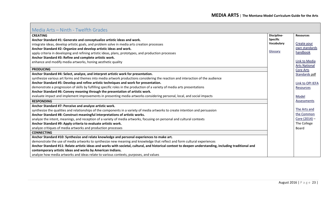<span id="page-22-0"></span>

| Media Arts - Ninth - Twelfth Grades                                                                                                                     |                 |                      |
|---------------------------------------------------------------------------------------------------------------------------------------------------------|-----------------|----------------------|
| <b>CREATING</b>                                                                                                                                         | Discipline-     | <b>Resources</b>     |
| Anchor Standard #1: Generate and conceptualize artistic ideas and work.                                                                                 | <b>Specific</b> |                      |
| integrate ideas, develop artistic goals, and problem solve in media arts creation processes                                                             | Vocabulary      | Create your          |
| Anchor Standard #2: Organize and develop artistic ideas and work.                                                                                       |                 | own standards        |
| apply criteria in developing and refining artistic ideas, plans, prototypes, and production processes                                                   | Glossary        | handbook             |
| Anchor Standard #3: Refine and complete artistic work.                                                                                                  |                 |                      |
| enhance and modify media artworks, honing aesthetic quality                                                                                             |                 | Link to Media        |
|                                                                                                                                                         |                 | <b>Arts National</b> |
| <b>PRODUCING</b>                                                                                                                                        |                 | <b>Core Arts</b>     |
| Anchor Standard #4: Select, analyze, and interpret artistic work for presentation.                                                                      |                 | Standards pdf        |
| synthesize various art forms and themes into media artwork productions considering the reaction and interaction of the audience                         |                 |                      |
| Anchor Standard #5: Develop and refine artistic techniques and work for presentation.                                                                   |                 | Link to OPI IEFA     |
| demonstrate a progression of skills by fulfilling specific roles in the production of a variety of media arts presentations                             |                 | Resources            |
| Anchor Standard #6: Convey meaning through the presentation of artistic work.                                                                           |                 |                      |
| evaluate impact and implement improvements in presenting media artworks considering personal, local, and social impacts                                 |                 | Model                |
| <b>RESPONDING</b>                                                                                                                                       |                 | Assessments          |
| Anchor Standard #7: Perceive and analyze artistic work.                                                                                                 |                 |                      |
| synthesize the qualities and relationships of the components in a variety of media artworks to create intention and persuasion                          |                 | The Arts and         |
| Anchor Standard #8: Construct meaningful interpretations of artistic works.                                                                             |                 | the Common           |
| analyze the intent, meanings, and reception of a variety of media artworks, focusing on personal and cultural contexts                                  |                 | Core (2014) -        |
| Anchor Standard #9: Apply criteria to evaluate artistic work.                                                                                           |                 | The College          |
| analyze critiques of media artworks and production processes                                                                                            |                 | Board                |
| <b>CONNECTING</b>                                                                                                                                       |                 |                      |
| Anchor Standard #10: Synthesize and relate knowledge and personal experiences to make art.                                                              |                 |                      |
| demonstrate the use of media artworks to synthesize new meaning and knowledge that reflect and form cultural experiences                                |                 |                      |
| Anchor Standard #11: Relate artistic ideas and works with societal, cultural, and historical context to deepen understanding, including traditional and |                 |                      |
| contemporary artistic ideas and works by American Indians.                                                                                              |                 |                      |
| analyze how media artworks and ideas relate to various contexts, purposes, and values                                                                   |                 |                      |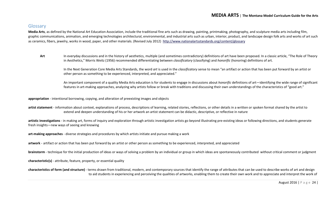### <span id="page-23-0"></span>**Glossary**

**Media Arts**, as defined by the National Art Education Association, include the traditional fine arts such as drawing, painting, printmaking, photography, and sculpture media arts including film, graphic communications, animation, and emerging technologies architectural, environmental, and industrial arts such as urban, interior, product, and landscape design folk arts and works of art such as ceramics, fibers, jewelry, works in wood, paper, and other materials. (Revised July 2012) <http://www.nationalartsstandards.org/content/glossary>

Art In everyday discussions and in the history of aesthetics, multiple (and sometimes contradictory) definitions of art have been proposed. In a classic article, "The Role of Theory in Aesthetics," Morris Weitz (1956) recommended differentiating between *classificatory* (classifying) and *honorific* (honoring) definitions of art.

In the Next Generation Core Media Arts Standards, the word *art* is used in the *classificatory* sense to mean "an artifact or action that has been put forward by an artist or other person as something to be experienced, interpreted, and appreciated."

An important component of a quality Media Arts education is for students to engage in discussions about *honorific* definitions of art—identifying the wide range of significant features in art-making approaches, analyzing why artists follow or break with traditions and discussing their own understandings of the characteristics of "good art."

**appropriation** - intentional borrowing, copying, and alteration of preexisting images and objects

**artist statement** - information about context, explanations of process, descriptions of learning, related stories, reflections, or other details in a written or spoken format shared by the artist to extend and deepen understanding of his or her artwork an artist statement can be didactic, descriptive, or reflective in nature

**artistic investigations** - in making art, forms of inquiry and exploration through artistic investigation artists go beyond illustrating pre-existing ideas or following directions, and students generate fresh insights—new ways of seeing and knowing

**art-making approaches** - diverse strategies and procedures by which artists initiate and pursue making a work

**artwork** - artifact or action that has been put forward by an artist or other person as something to be experienced, interpreted, and appreciated

**brainstorm** - technique for the initial production of ideas or ways of solving a problem by an individual or group in which ideas are spontaneously contributed without critical comment or judgment

**characteristic(s)** - attribute, feature, property, or essential quality

**characteristics of form (and structure)** - terms drawn from traditional, modern, and contemporary sources that identify the range of attributes that can be used to describe works of art and design to aid students in experiencing and perceiving the qualities of artworks, enabling them to create their own work and to appreciate and interpret the work of

August 2016 | Page 24 |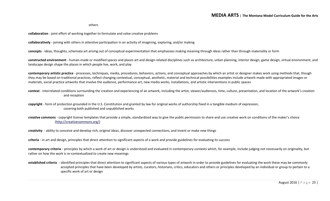others

**collaboration** - joint effort of working together to formulate and solve creative problems

**collaboratively** - joining with others in attentive participation in an activity of imagining, exploring, and/or making

**concepts** - ideas, thoughts, schemata art arising out of conceptual experimentation that emphasizes making meaning through ideas rather than through materiality or form

**constructed environment** - human-made or modified spaces and places art and design-related disciplines such as architecture, urban planning, interior design, game design, virtual environment, and landscape design shape the places in which people live, work, and play

**contemporary artistic practice** - processes, techniques, media, procedures, behaviors, actions, and conceptual approaches by which an artist or designer makes work using methods that, though they may be based on traditional practices, reflect changing contextual, conceptual, aesthetic, material and technical possibilities examples include artwork made with appropriated images or materials, social practice artworks that involve the audience, performance art, new media works, installations, and artistic interventions in public spaces

**context** - interrelated conditions surrounding the creation and experiencing of an artwork, including the artist, viewer/audiences, time, culture, presentation, and location of the artwork's creation and reception

**copyright** - form of protection grounded in the U.S. Constitution and granted by law for original works of authorship fixed in a tangible medium of expression, covering both published and unpublished works

**creative commons** - copyright license templates that provide a simple, standardized way to give the public permission to share and use creative work on conditions of the maker's choice [\(http://creativecommons.org/\)](http://creativecommons.org/)

**creativity** - ability to conceive and develop rich, original ideas, discover unexpected connections, and invent or make new things

**criteria** - in art and design, principles that direct attention to significant aspects of a work and provide guidelines for evaluating its success

contemporary criteria - principles by which a work of art or design is understood and evaluated in contemporary contexts which, for example, include judging not necessarily on originality, but rather on how the work is re-contextualized to create new meanings

**established criteria** - identified principles that direct attention to significant aspects of various types of artwork in order to provide guidelines for evaluating the work these may be commonly accepted principles that have been developed by artists, curators, historians, critics, educators and others or principles developed by an individual or group to pertain to a specific work of art or design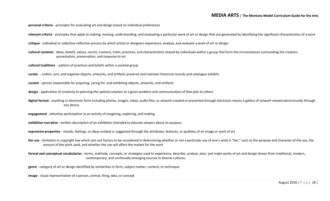**personal criteria** - principles for evaluating art and design based on individual preferences

relevant criteria - principles that apply to making, revising, understanding, and evaluating a particular work of art or design that are generated by identifying the significant characteristics of a work

**critique** - individual or collective reflective process by which artists or designers experience, analyze, and evaluate a work of art or design

**cultural contexts** - ideas, beliefs, values, norms, customs, traits, practices, and characteristics shared by individuals within a group that form the circumstances surrounding the creation, presentation, preservation, and response to art

**cultural traditions** - pattern of practices and beliefs within a societal group

**curate** - collect, sort, and organize objects, artworks, and artifacts preserve and maintain historical records and catalogue exhibits

**curator** - person responsible for acquiring, caring for, and exhibiting objects, artworks, and artifacts

**design** - application of creativity to planning the optimal solution to a given problem and communication of that plan to others

digital format - anything in electronic form including photos, images, video, audio files, or artwork created or presented through electronic means a gallery of artwork viewed electronically through any device

**engagement** - attentive participation in an activity of imagining, exploring, and making

**exhibition narrative** - written description of an exhibition intended to educate viewers about its purpose

**expressive properties** - moods, feelings, or ideas evoked or suggested through the attributes, features, or qualities of an image or work of art

fair use - limitation in copyright law which sets out factors to be considered in determining whether or not a particular use of one's work is "fair," such as the purpose and character of the use, the amount of the work used, and whether the use will affect the market for the work

**formal and conceptual vocabularies** - terms, methods, concepts, or strategies used to experience, describe, analyze, plan, and make works of art and design drawn from traditional, modern, contemporary, and continually emerging sources in diverse cultures.

**genre** - category of art or design identified by similarities in form, subject matter, content, or technique

**image** - visual representation of a person, animal, thing, idea, or concept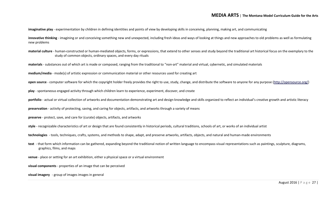**imaginative play** - experimentation by children in defining identities and points of view by developing skills in conceiving, planning, making art, and communicating

**innovative thinking** - imagining or and conceiving something new and unexpected, including fresh ideas and ways of looking at things and new approaches to old problems as well as formulating new problems

**material culture** - human-constructed or human-mediated objects, forms, or expressions, that extend to other senses and study beyond the traditional art historical focus on the exemplary to the study of common objects, ordinary spaces, and every day rituals

**materials** - substances out of which art is made or composed, ranging from the traditional to "non-art" material and virtual, cybernetic, and simulated materials

**medium/media** - mode(s) of artistic expression or communication material or other resources used for creating art

**open source** - computer software for which the copyright holder freely provides the right to use, study, change, and distribute the software to anyone for any purpose [\(http://opensource.org/\)](http://opensource.org/)

**play** - spontaneous engaged activity through which children learn to experience, experiment, discover, and create

portfolio - actual or virtual collection of artworks and documentation demonstrating art and design knowledge and skills organized to reflect an individual's creative growth and artistic literacy

**preservation** - activity of protecting, saving, and caring for objects, artifacts, and artworks through a variety of means

**preserve** - protect, save, and care for (curate) objects, artifacts, and artworks

**style** - recognizable characteristics of art or design that are found consistently in historical periods, cultural traditions, schools of art, or works of an individual artist

**technologies** - tools, techniques, crafts, systems, and methods to shape, adapt, and preserve artworks, artifacts, objects, and natural and human-made environments

text - that form which information can be gathered, expanding beyond the traditional notion of written language to encompass visual representations such as paintings, sculpture, diagrams, graphics, films, and maps

**venue** - place or setting for an art exhibition, either a physical space or a virtual environment

**visual components** - properties of an image that can be perceived

**visual imagery** - group of images images in general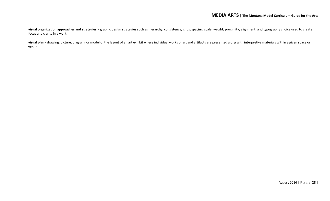**visual organization approaches and strategies** - graphic design strategies such as hierarchy, consistency, grids, spacing, scale, weight, proximity, alignment, and typography choice used to create focus and clarity in a work

visual plan - drawing, picture, diagram, or model of the layout of an art exhibit where individual works of art and artifacts are presented along with interpretive materials within a given space or venue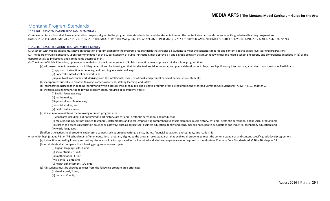#### <span id="page-28-0"></span>Montana Program Standards

#### [10.55.901 BASIC EDUCATION PROGRAM: ELEMENTARY](http://mtrules.org/gateway/ruleno.asp?RN=10%2E55%2E901)

(1) An elementary school shall have an education program aligned to the program area standards that enables students to meet the content standards and content-specific grade-level learning progressions. History: 20-2-114, MCA; IMP, 20-2-121, 20-3-106, 20-7-101, MCA; NEW, 1989 MAR p. 342, Eff. 7/1/89; AMD, 1998 MAR p. 2707, Eff. 10/9/98; AMD, 2000 MAR p. 3340, Eff. 12/8/00; AMD, 2012 MAR p. 2042, Eff. 7/1/13.

#### [10.55.902 BASIC EDUCATION PROGRAM: MIDDLE GRADES](http://mtrules.org/gateway/ruleno.asp?RN=10%2E55%2E902)

(1) A school with middle grades must have an education program aligned to the program area standards that enables all students to meet the content standards and content-specific grade-level learning progressions. (2) The Board of Public Education, upon recommendation of the Superintendent of Public Instruction, may approve a 7 and 8 grade program that must follow either the middle school philosophy and components described in (3) o departmentalized philosophy and components described in (4).

(3) The Board of Public Education, upon recommendation of the Superintendent of Public Instruction, may approve a middle school program that:

(a) addresses the unique nature of middle-grade children by focusing on their intellectual, social, emotional, and physical development. To put such philosophy into practice, a middle school must have flexibility to:

(i) approach instruction, scheduling, and teaching in a variety of ways;

(ii) undertake interdisciplinary work; and

(iii) plan blocks of coursework deriving from the intellectual, social, emotional, and physical needs of middle school students.

(b) incorporates critical and creative thinking, career awareness, lifelong learning, and safety;

(c) incorporates instruction in reading literacy and writing literacy into all required and elective program areas as required in the Montana Common Core Standards, ARM Title 10, chapter 53;

(d) includes, at a minimum, the following program areas, required of all students yearly:

(i) English language arts;

(ii) mathematics;

(iii) physical and life sciences;

(iv) social studies; and

(v) health enhancement.

(e) at a minimum maintains the following required program areas:

(i) visual arts including, but not limited to art history, art criticism, aesthetic perception, and production;

(ii) music including, but not limited to general, instrumental, and vocal (emphasizing comprehensive music elements, music history, criticism, aesthetic perception, and musical production);

(iii) career and technical education courses or pathways such as agriculture, business education, family and consumer sciences, health occupations and industrial technology education; and

(iv) world languages.

(f) offers as electives to all students exploratory courses such as creative writing, dance, drama, financial education, photography, and leadership.

(4) A junior high (grades 7-9) or 7-8 school must offer an educational program, aligned to the program area standards, that enables all students to meet the content standards and content-specific grade-level progressions. (a) Instruction in reading literacy and writing literacy shall be incorporated into all required and elective program areas as required in the Montana Common Core Standards, ARM Title 10, chapter 53.

(b) All students shall complete the following program areas each year:

(i) English language arts--1 unit;

(ii) social studies--1 unit;

(iii) mathematics--1 unit;

(iv) science--1 unit; and

(v) health enhancement--1/2 unit.

(c) All students must be allowed to elect from the following program area offerings:

(i) visual arts--1/2 unit;

(ii) music--1/2 unit;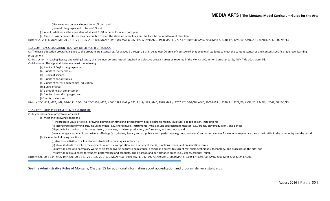(iii) career and technical education--1/2 unit; and

(iv) world languages and cultures--1/2 unit.

(d) A unit is defined as the equivalent of at least 8100 minutes for one school year.

(e) Time to pass between classes may be counted toward the standard school day but shall not be counted toward class time.

History: 20-2-114, MCA; IMP, 20-2-121, 20-3-106, 20-7-101, MCA; NEW, 1989 MAR p. 342, Eff. 7/1/89; AMD, 1998 MAR p. 2707, Eff. 10/9/98; AMD, 2000 MAR p. 3340, Eff. 12/8/00; AMD, 2012 MAR p. 2042, Eff. 7/1/13.

#### [10.55.904 BASIC EDUCATION PROGRAM OFFERINGS: HIGH SCHOOL](http://mtrules.org/gateway/ruleno.asp?RN=10%2E55%2E904)

(1) The basic education program, aligned to the program area standards, for grades 9 through 12 shall be at least 20 units of coursework that enable all students to meet the content standards and content-specific grade-lev progressions.

(2) Instruction in reading literacy and writing literacy shall be incorporated into all required and elective program areas as required in the Montana Common Core Standards, ARM Title 10, chapter 53. (3) Minimum offerings shall include at least the following:

(a) 4 units of English language arts;

(b) 3 units of mathematics;

(c) 3 units of science;

(d) 3 units of social studies;

(e) 2 units of career and technical education;

(f) 2 units of arts;

(g) 1 unit of health enhancement;

(h) 2 units of world languages; and

(i) 2 units of electives.

History: 20-2-114, MCA; IMP, 20-2-121, 20-3-106, 20-7-101, MCA; NEW, 1989 MAR p. 342, Eff. 7/1/89; AMD, 1998 MAR p. 2707, Eff. 10/9/98; AMD, 2000 MAR p. 3340, Eff. 12/8/00; AMD, 2012 MAR p. 2042, Eff. 7/1/13.

#### [10.55.1201 ARTS PROGRAM DELIVERY STANDARDS](http://mtrules.org/gateway/ruleno.asp?RN=10%2E55%2E1201)

#### (1) In general, a basic program in arts shall:

(a) meet the following conditions:

(i) incorporate visual arts (e.g., drawing, painting, printmaking, photography, film, electronic media, sculpture, applied design, installation);

(ii) incorporate performing arts, including music (e.g., choral music, instrumental music, music appreciation), theater (e.g., drama, play production), and dance;

(iii) provide instruction that includes history of the arts, criticism, production, performance, and aesthetics; and

(iv) encourage a variety of co-curricular offerings (e.g., drama, literary and art publications, performance groups, arts clubs) and other avenues for students to practice their artistic skills in the community and the wor (b) include the following practices:

(i) structure activities to allow students to develop techniques in the arts;

(ii) allow students to explore the elements of artistic composition and a variety of media, functions, styles, and presentation forms;

(iii) provide access to exemplary works of art from diverse cultures and historical periods and access to current materials, techniques, technology, and processes in the arts; and

(iv) provide real audiences for student performance and products, display areas, and performance areas (e.g., stages, galleries, fairs).

History: Sec. 20-2-114, MCA; IMP, Sec. 20-2-121, 20-3-106, 20-7-101, MCA; NEW, 1989 MAR p. 342, Eff. 7/1/89; AMD, 2000 MAR p. 3340, Eff. 12/8/00; AMD, 2001 MAR p. 953, Eff. 6/8/01.

See the [Administrative Rules of Montana, Chapter 55](http://mtrules.org/gateway/ChapterHome.asp?Chapter=10%2E55) for additional information about accreditation and program delivery standards.